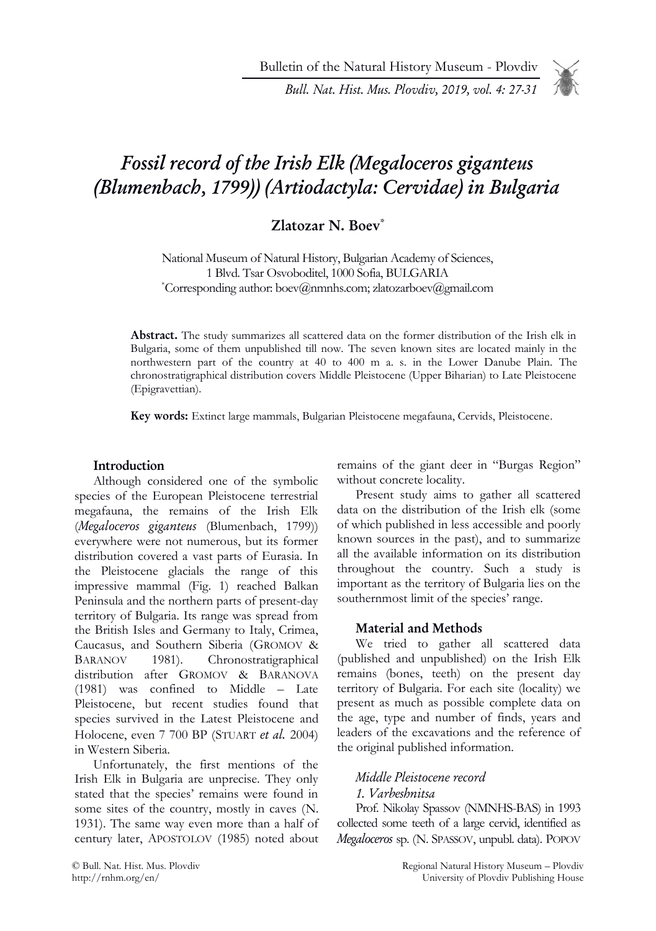Bulletin of the Natural History Museum - Plovdiv

Bull. Nat. Hist. Mus. Plovdiv, 2019, vol. 4: 27-31

# Fossil record of the Irish Elk (Megaloceros giganteus (Blumenbach, 1799)) (Artiodactyla: Cervidae) in Bulgaria

# Zlatozar N. Boev\*

National Museum of Natural History, Bulgarian Academy of Sciences, 1 Blvd. Tsar Osvoboditel, 1000 Sofia, BULGARIA \*Corresponding author: boev@nmnhs.com; zlatozarboev@gmail.com

Abstract. The study summarizes all scattered data on the former distribution of the Irish elk in Bulgaria, some of them unpublished till now. The seven known sites are located mainly in the northwestern part of the country at 40 to 400 m a. s. in the Lower Danube Plain. The chronostratigraphical distribution covers Middle Pleistocene (Upper Biharian) to Late Pleistocene (Epigravettian).

Key words: Extinct large mammals, Bulgarian Pleistocene megafauna, Cervids, Pleistocene.

#### Introduction

Although considered one of the symbolic species of the European Pleistocene terrestrial megafauna, the remains of the Irish Elk (Megaloceros giganteus (Blumenbach, 1799)) everywhere were not numerous, but its former distribution covered a vast parts of Eurasia. In the Pleistocene glacials the range of this impressive mammal (Fig. 1) reached Balkan Peninsula and the northern parts of present-day territory of Bulgaria. Its range was spread from the British Isles and Germany to Italy, Crimea, Caucasus, and Southern Siberia (GROMOV & BARANOV 1981). Chronostratigraphical distribution after GROMOV & BARANOVA (1981) was confined to Middle – Late Pleistocene, but recent studies found that species survived in the Latest Pleistocene and Holocene, even 7 700 BP (STUART et al. 2004) in Western Siberia.

Unfortunately, the first mentions of the Irish Elk in Bulgaria are unprecise. They only stated that the species' remains were found in some sites of the country, mostly in caves (N. 1931). The same way even more than a half of century later, APOSTOLOV (1985) noted about

remains of the giant deer in "Burgas Region" without concrete locality.

Present study aims to gather all scattered data on the distribution of the Irish elk (some of which published in less accessible and poorly known sources in the past), and to summarize all the available information on its distribution throughout the country. Such a study is important as the territory of Bulgaria lies on the southernmost limit of the species' range.

#### Material and Methods

We tried to gather all scattered data (published and unpublished) on the Irish Elk remains (bones, teeth) on the present day territory of Bulgaria. For each site (locality) we present as much as possible complete data on the age, type and number of finds, years and leaders of the excavations and the reference of the original published information.

#### Middle Pleistocene record

1. Varbeshnitsa

Prof. Nikolay Spassov (NMNHS-BAS) in 1993 collected some teeth of a large cervid, identified as Megaloceros sp. (N. SPASSOV, unpubl. data). POPOV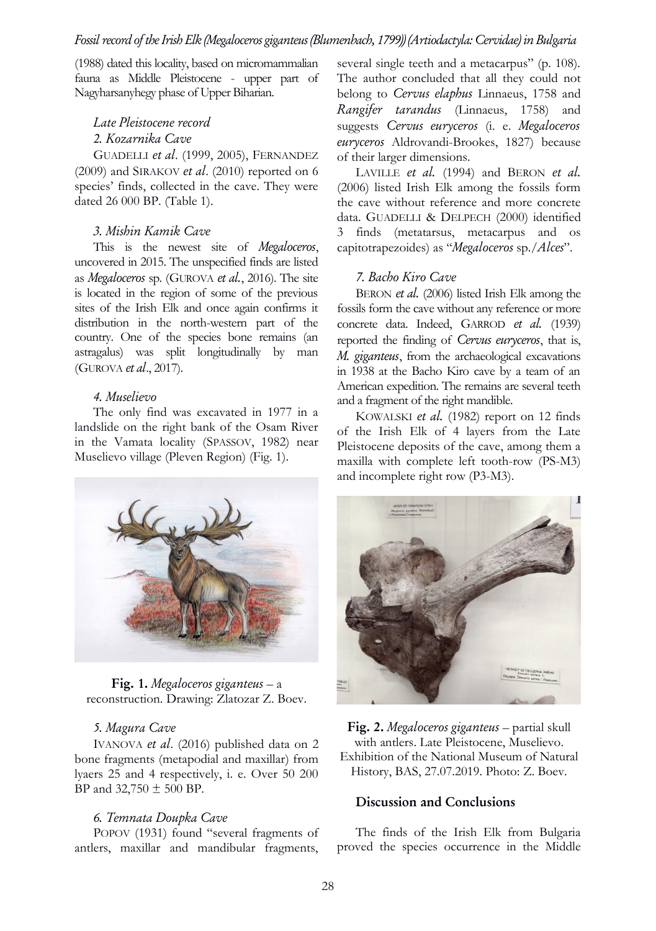(1988) dated this locality, based on micromammalian fauna as Middle Pleistocene - upper part of Nagyharsanyhegy phase of Upper Biharian.

# Late Pleistocene record 2. Kozarnika Cave

GUADELLI et al. (1999, 2005), FERNANDEZ (2009) and SIRAKOV et al. (2010) reported on 6 species' finds, collected in the cave. They were dated 26 000 BP. (Table 1).

#### 3. Mishin Kamik Cave

This is the newest site of Megaloceros, uncovered in 2015. The unspecified finds are listed as Megaloceros sp. (GUROVA et al., 2016). The site is located in the region of some of the previous sites of the Irish Elk and once again confirms it distribution in the north-western part of the country. One of the species bone remains (an astragalus) was split longitudinally by man (GUROVA et al., 2017).

#### 4. Muselievo

The only find was excavated in 1977 in a landslide on the right bank of the Osam River in the Vamata locality (SPASSOV, 1982) near Muselievo village (Pleven Region) (Fig. 1).

several single teeth and a metacarpus" (p. 108). The author concluded that all they could not belong to Cervus elaphus Linnaeus, 1758 and Rangifer tarandus (Linnaeus, 1758) and suggests Cervus euryceros (i. e. Megaloceros euryceros Aldrovandi-Brookes, 1827) because of their larger dimensions.

LAVILLE et al. (1994) and BERON et al. (2006) listed Irish Elk among the fossils form the cave without reference and more concrete data. GUADELLI & DELPECH (2000) identified 3 finds (metatarsus, metacarpus and os capitotrapezoides) as "Megaloceros sp./Alces".

## 7. Bacho Kiro Cave

BERON *et al.* (2006) listed Irish Elk among the fossils form the cave without any reference or more concrete data. Indeed, GARROD et al. (1939) reported the finding of Cervus euryceros, that is, M. giganteus, from the archaeological excavations in 1938 at the Bacho Kiro cave by a team of an American expedition. The remains are several teeth and a fragment of the right mandible.

KOWALSKI et al. (1982) report on 12 finds of the Irish Elk of 4 layers from the Late Pleistocene deposits of the cave, among them a maxilla with complete left tooth-row (PS-M3) and incomplete right row (P3-M3).



**Fig. 1.** Megaloceros giganteus – a reconstruction. Drawing: Zlatozar Z. Boev.

## 5. Magura Cave

IVANOVA et al. (2016) published data on 2 bone fragments (metapodial and maxillar) from lyaers 25 and 4 respectively, i. e. Over 50 200 BP and  $32,750 \pm 500$  BP.

## 6. Temnata Doupka Cave

POPOV (1931) found "several fragments of antlers, maxillar and mandibular fragments,



Fig. 2. Megaloceros giganteus – partial skull with antlers. Late Pleistocene, Muselievo. Exhibition of the National Museum of Natural History, BAS, 27.07.2019. Photo: Z. Boev.

## Discussion and Conclusions

The finds of the Irish Elk from Bulgaria proved the species occurrence in the Middle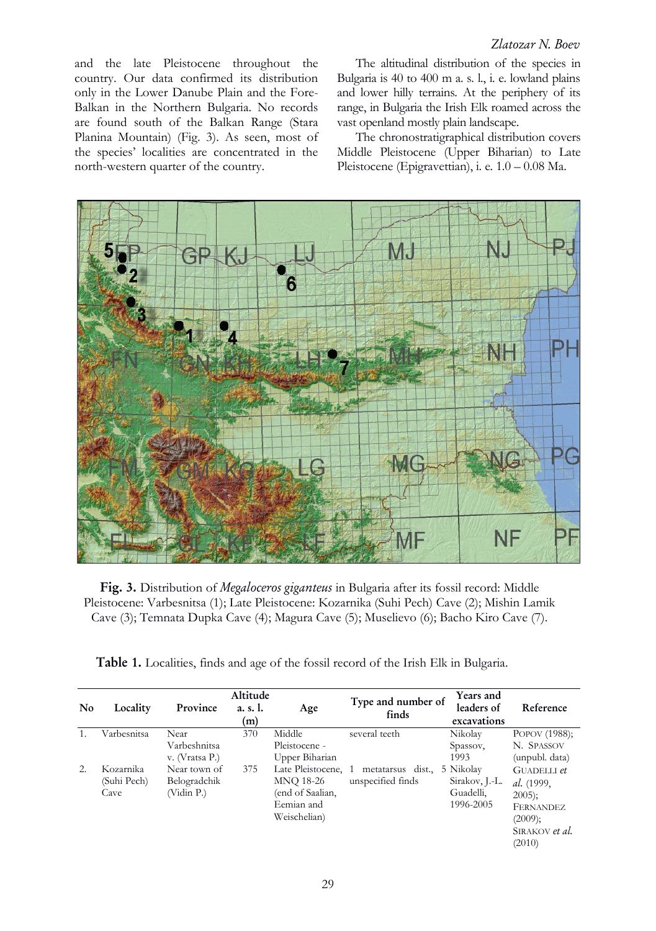and the late Pleistocene throughout the country. Our data confirmed its distribution only in the Lower Danube Plain and the Fore-Balkan in the Northern Bulgaria. No records are found south of the Balkan Range (Stara Planina Mountain) (Fig. 3). As seen, most of the species' localities are concentrated in the north-western quarter of the country.

The altitudinal distribution of the species in Bulgaria is 40 to 400 m a. s. l., i. e. lowland plains and lower hilly terrains. At the periphery of its range, in Bulgaria the Irish Elk roamed across the vast openland mostly plain landscape.

The chronostratigraphical distribution covers Middle Pleistocene (Upper Biharian) to Late Pleistocene (Epigravettian), i. e. 1.0 – 0.08 Ma.



Fig. 3. Distribution of Megaloceros giganteus in Bulgaria after its fossil record: Middle Pleistocene: Varbesnitsa (1); Late Pleistocene: Kozarnika (Suhi Pech) Cave (2); Mishin Lamik Cave (3); Temnata Dupka Cave (4); Magura Cave (5); Muselievo (6); Bacho Kiro Cave (7).

Table 1. Localities, finds and age of the fossil record of the Irish Elk in Bulgaria.

|           | Locality                        | Altitude                                   |                 |                                                                                    | Type and number of                     | Years and                                             |                                                                                                  |
|-----------|---------------------------------|--------------------------------------------|-----------------|------------------------------------------------------------------------------------|----------------------------------------|-------------------------------------------------------|--------------------------------------------------------------------------------------------------|
| <b>No</b> |                                 | Province                                   | a. s. l.<br>(m) | Age                                                                                | finds                                  | leaders of                                            | Reference                                                                                        |
|           |                                 |                                            |                 |                                                                                    |                                        | excavations                                           |                                                                                                  |
|           | Varbesnitsa                     | Near                                       | 370             | Middle                                                                             | several teeth                          | Nikolay                                               | POPOV (1988);                                                                                    |
|           |                                 | Varbeshnitsa                               |                 | Pleistocene -                                                                      |                                        | Spassov,                                              | N. SPASSOV                                                                                       |
|           |                                 | v. (Vratsa P.)                             |                 | Upper Biharian                                                                     |                                        | 1993                                                  | (unpubl. data)                                                                                   |
| 2.        | Kozamika<br>(Suhi Pech)<br>Cave | Near town of<br>Belogradchik<br>(Vidin P.) | 375             | Late Pleistocene, 1<br>MNQ 18-26<br>(end of Saalian,<br>Eemian and<br>Weischelian) | metatarsus dist.,<br>unspecified finds | 5 Nikolay<br>Sirakov, J.-L.<br>Guadelli,<br>1996-2005 | GUADELLI et<br>al. (1999,<br>$2005$ ;<br><b>FERNANDEZ</b><br>(2009);<br>SIRAKOV et al.<br>(2010) |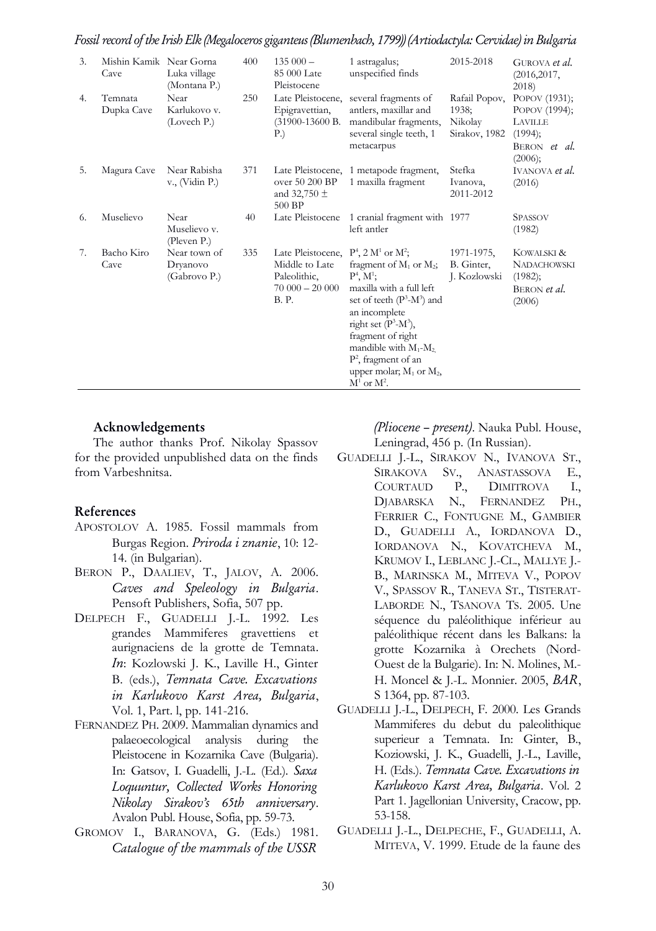Fossil record of the Irish Elk (Megaloceros giganteus (Blumenbach, 1799)) (Artiodactyla: Cervidae) in Bulgaria

| 3. | Mishin Kamik Near Gorna<br>Cave | Luka village<br>(Montana P.)             | 400 | $135000 -$<br>85 000 Late<br>Pleistocene                                              | 1 astragalus;<br>unspecified finds                                                                                                                                                                                                                                                                                                   | 2015-2018                                          | GUROVA et al.<br>(2016, 2017,<br>2018                                           |
|----|---------------------------------|------------------------------------------|-----|---------------------------------------------------------------------------------------|--------------------------------------------------------------------------------------------------------------------------------------------------------------------------------------------------------------------------------------------------------------------------------------------------------------------------------------|----------------------------------------------------|---------------------------------------------------------------------------------|
| 4. | Temnata<br>Dupka Cave           | Near<br>Karlukovo v.<br>(Lovech P.)      | 250 | Late Pleistocene,<br>Epigravettian,<br>(31900-13600 B.<br>P.)                         | several fragments of<br>antlers, maxillar and<br>mandibular fragments,<br>several single teeth, 1<br>metacarpus                                                                                                                                                                                                                      | Rafail Popov,<br>1938;<br>Nikolay<br>Sirakov, 1982 | POPOV (1931);<br>POPOV (1994);<br>LAVILLE<br>(1994);<br>BERON et al.<br>(2006); |
| 5. | Magura Cave                     | Near Rabisha<br>v., (Vidin P.)           | 371 | Late Pleistocene,<br>over 50 200 BP<br>and 32,750 $\pm$<br>500 BP                     | 1 metapode fragment,<br>1 maxilla fragment                                                                                                                                                                                                                                                                                           | Stefka<br>Ivanova,<br>2011-2012                    | IVANOVA et al.<br>(2016)                                                        |
| 6. | Muselievo                       | Near<br>Muselievo v.<br>(Pleven P.)      | 40  | Late Pleistocene                                                                      | 1 cranial fragment with 1977<br>left antler                                                                                                                                                                                                                                                                                          |                                                    | <b>SPASSOV</b><br>(1982)                                                        |
| 7. | Bacho Kiro<br>Cave              | Near town of<br>Dryanovo<br>(Gabrovo P.) | 335 | Late Pleistocene,<br>Middle to Late<br>Paleolithic,<br>$70000 - 20000$<br><b>B.P.</b> | $P^4$ , 2 M <sup>1</sup> or M <sup>2</sup> ;<br>fragment of $M_1$ or $M_2$ ;<br>$P^4, M^1;$<br>maxilla with a full left<br>set of teeth $(P^3-M^3)$ and<br>an incomplete<br>right set $(P^3-M^3)$ ,<br>fragment of right<br>mandible with $M_1-M_2$ ,<br>$P^2$ , fragment of an<br>upper molar; $M_1$ or $M_2$ ,<br>$M^1$ or $M^2$ . | 1971-1975,<br>B. Ginter,<br>J. Kozlowski           | KOWALSKI &<br><b>NADACHOWSKI</b><br>(1982);<br>BERON et al.<br>(2006)           |

#### Acknowledgements

The author thanks Prof. Nikolay Spassov for the provided unpublished data on the finds from Varbeshnitsa.

#### References

- APOSTOLOV A. 1985. Fossil mammals from Burgas Region. Priroda i znanie, 10: 12- 14. (in Bulgarian).
- BERON P., DAALIEV, T., JALOV, A. 2006. Caves and Speleology in Bulgaria. Pensoft Publishers, Sofia, 507 pp.
- DELPECH F., GUADELLI J.-L. 1992. Les grandes Mammiferes gravettiens et aurignaciens de la grotte de Temnata. In: Kozlowski J. K., Laville H., Ginter B. (eds.), Temnata Cave. Excavations in Karlukovo Karst Area, Bulgaria, Vol. 1, Part. l, pp. 141-216.
- FERNANDEZ PH. 2009. Mammalian dynamics and palaeoecological analysis during the Pleistocene in Kozarnika Cave (Bulgaria). In: Gatsov, I. Guadelli, J.-L. (Ed.). Saxa Loquuntur, Collected Works Honoring Nikolay Sirakov's 65th anniversary. Avalon Publ. House, Sofia, pp. 59-73.
- GROMOV I., BARANOVA, G. (Eds.) 1981. Catalogue of the mammals of the USSR

(Pliocene – present). Nauka Publ. House, Leningrad, 456 p. (In Russian).

- GUADELLI J.-L., SIRAKOV N., IVANOVA ST., SIRAKOVA SV., ANASTASSOVA E., COURTAUD P., DIMITROVA I., DJABARSKA N., FERNANDEZ PH., FERRIER C., FONTUGNE M., GAMBIER D., GUADELLI A., IORDANOVA D., IORDANOVA N., KOVATCHEVA M., KRUMOV I., LEBLANC J.-CL., MALLYE J.- B., MARINSKA M., MITEVA V., POPOV V., SPASSOV R., TANEVA ST., TISTERAT-LABORDE N., TSANOVA TS. 2005. Une séquence du paléolithique inférieur au paléolithique récent dans les Balkans: la grotte Kozarnika à Orechets (Nord-Ouest de la Bulgarie). In: N. Molines, M.- H. Moncel & J.-L. Monnier. 2005, BAR, S 1364, pp. 87-103.
- GUADELLI J.-L., DELPECH, F. 2000. Les Grands Mammiferes du debut du paleolithique superieur a Temnata. In: Ginter, B., Koziowski, J. K., Guadelli, J.-L., Laville, H. (Eds.). Temnata Cave. Excavations in Karlukovo Karst Area, Bulgaria. Vol. 2 Part 1. Jagellonian University, Cracow, pp. 53-158.
- GUADELLI J.-L., DELPECHE, F., GUADELLI, A. MITEVA, V. 1999. Etude de la faune des